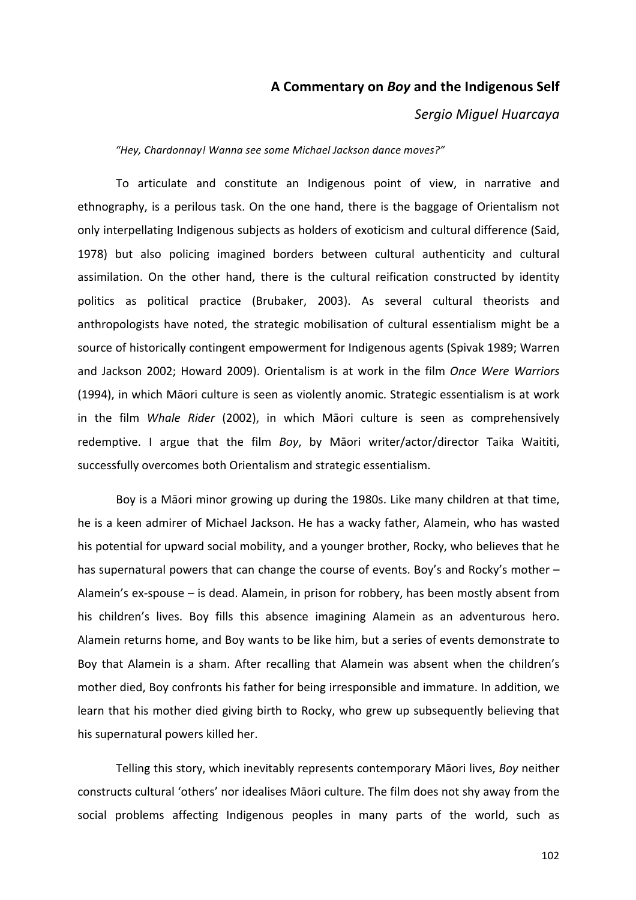## **A Commentary on** *Boy* **and the Indigenous Self**

*Sergio Miguel Huarcaya*

"Hey, Chardonnay! Wanna see some Michael Jackson dance moves?"

To articulate and constitute an Indigenous point of view, in narrative and ethnography, is a perilous task. On the one hand, there is the baggage of Orientalism not only interpellating Indigenous subjects as holders of exoticism and cultural difference (Said, 1978) but also policing imagined borders between cultural authenticity and cultural assimilation. On the other hand, there is the cultural reification constructed by identity politics as political practice (Brubaker, 2003). As several cultural theorists and anthropologists have noted, the strategic mobilisation of cultural essentialism might be a source of historically contingent empowerment for Indigenous agents (Spivak 1989; Warren and Jackson 2002; Howard 2009). Orientalism is at work in the film *Once Were Warriors* (1994), in which Māori culture is seen as violently anomic. Strategic essentialism is at work in the film *Whale Rider* (2002), in which Māori culture is seen as comprehensively redemptive. I argue that the film *Boy*, by Māori writer/actor/director Taika Waititi, successfully overcomes both Orientalism and strategic essentialism.

Boy is a Māori minor growing up during the 1980s. Like many children at that time, he is a keen admirer of Michael Jackson. He has a wacky father, Alamein, who has wasted his potential for upward social mobility, and a younger brother, Rocky, who believes that he has supernatural powers that can change the course of events. Boy's and Rocky's mother  $-$ Alamein's ex-spouse  $-$  is dead. Alamein, in prison for robbery, has been mostly absent from his children's lives. Boy fills this absence imagining Alamein as an adventurous hero. Alamein returns home, and Boy wants to be like him, but a series of events demonstrate to Boy that Alamein is a sham. After recalling that Alamein was absent when the children's mother died, Boy confronts his father for being irresponsible and immature. In addition, we learn that his mother died giving birth to Rocky, who grew up subsequently believing that his supernatural powers killed her.

Telling this story, which inevitably represents contemporary Māori lives, *Boy* neither constructs cultural 'others' nor idealises Māori culture. The film does not shy away from the social problems affecting Indigenous peoples in many parts of the world, such as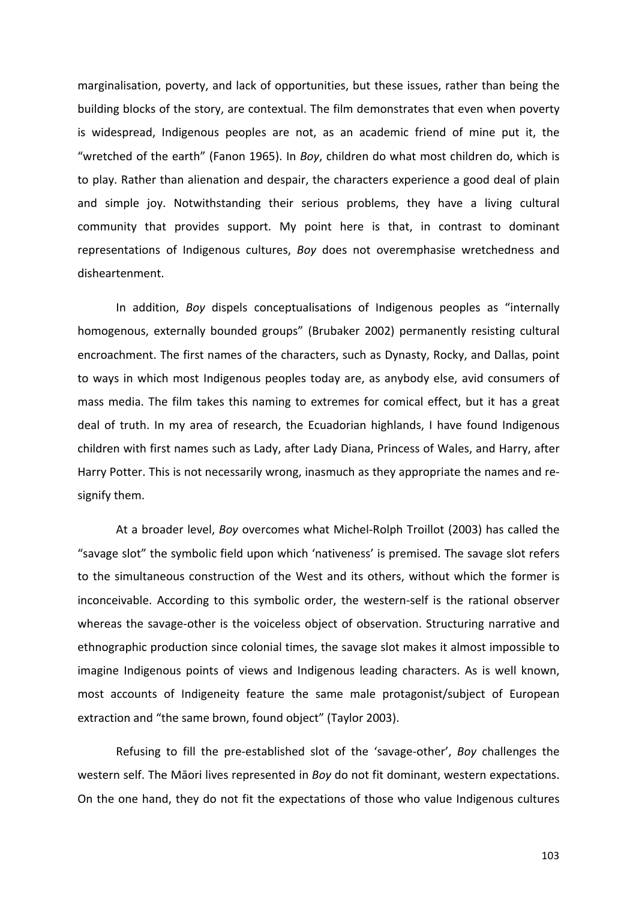marginalisation, poverty, and lack of opportunities, but these issues, rather than being the building blocks of the story, are contextual. The film demonstrates that even when poverty is widespread, Indigenous peoples are not, as an academic friend of mine put it, the "wretched of the earth" (Fanon 1965). In *Boy*, children do what most children do, which is to play. Rather than alienation and despair, the characters experience a good deal of plain and simple joy. Notwithstanding their serious problems, they have a living cultural community that provides support. My point here is that, in contrast to dominant representations of Indigenous cultures, *Boy* does not overemphasise wretchedness and disheartenment.

In addition, *Boy* dispels conceptualisations of Indigenous peoples as "internally homogenous, externally bounded groups" (Brubaker 2002) permanently resisting cultural encroachment. The first names of the characters, such as Dynasty, Rocky, and Dallas, point to ways in which most Indigenous peoples today are, as anybody else, avid consumers of mass media. The film takes this naming to extremes for comical effect, but it has a great deal of truth. In my area of research, the Ecuadorian highlands, I have found Indigenous children with first names such as Lady, after Lady Diana, Princess of Wales, and Harry, after Harry Potter. This is not necessarily wrong, inasmuch as they appropriate the names and resignify them.

At a broader level, *Boy* overcomes what Michel-Rolph Troillot (2003) has called the "savage slot" the symbolic field upon which 'nativeness' is premised. The savage slot refers to the simultaneous construction of the West and its others, without which the former is inconceivable. According to this symbolic order, the western-self is the rational observer whereas the savage-other is the voiceless object of observation. Structuring narrative and ethnographic production since colonial times, the savage slot makes it almost impossible to imagine Indigenous points of views and Indigenous leading characters. As is well known, most accounts of Indigeneity feature the same male protagonist/subject of European extraction and "the same brown, found object" (Taylor 2003).

Refusing to fill the pre-established slot of the 'savage-other', *Boy* challenges the western self. The Māori lives represented in *Boy* do not fit dominant, western expectations. On the one hand, they do not fit the expectations of those who value Indigenous cultures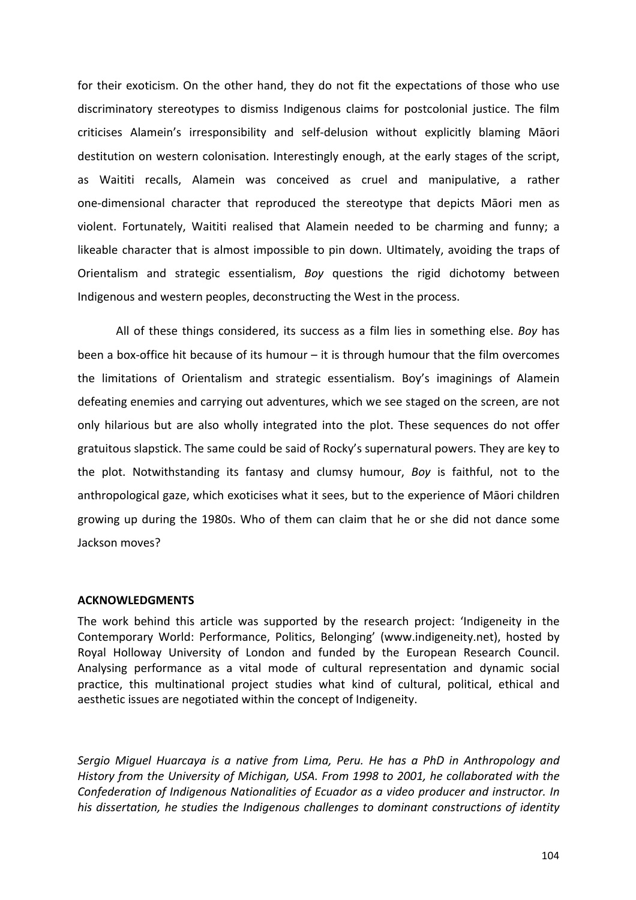for their exoticism. On the other hand, they do not fit the expectations of those who use discriminatory stereotypes to dismiss Indigenous claims for postcolonial justice. The film criticises Alamein's irresponsibility and self-delusion without explicitly blaming Māori destitution on western colonisation. Interestingly enough, at the early stages of the script, as Waititi recalls, Alamein was conceived as cruel and manipulative, a rather one-dimensional character that reproduced the stereotype that depicts Māori men as violent. Fortunately, Waititi realised that Alamein needed to be charming and funny; a likeable character that is almost impossible to pin down. Ultimately, avoiding the traps of Orientalism and strategic essentialism, *Boy* questions the rigid dichotomy between Indigenous and western peoples, deconstructing the West in the process.

All of these things considered, its success as a film lies in something else. *Boy* has been a box-office hit because of its humour  $-$  it is through humour that the film overcomes the limitations of Orientalism and strategic essentialism. Boy's imaginings of Alamein defeating enemies and carrying out adventures, which we see staged on the screen, are not only hilarious but are also wholly integrated into the plot. These sequences do not offer gratuitous slapstick. The same could be said of Rocky's supernatural powers. They are key to the plot. Notwithstanding its fantasy and clumsy humour, *Boy* is faithful, not to the anthropological gaze, which exoticises what it sees, but to the experience of Māori children growing up during the 1980s. Who of them can claim that he or she did not dance some Jackson moves?

## **ACKNOWLEDGMENTS**

The work behind this article was supported by the research project: 'Indigeneity in the Contemporary World: Performance, Politics, Belonging' (www.indigeneity.net), hosted by Royal Holloway University of London and funded by the European Research Council. Analysing performance as a vital mode of cultural representation and dynamic social practice, this multinational project studies what kind of cultural, political, ethical and aesthetic issues are negotiated within the concept of Indigeneity.

Sergio Miguel Huarcaya is a native from Lima, Peru. He has a PhD in Anthropology and *History from the University of Michigan, USA. From 1998 to 2001, he collaborated with the Confederation of Indigenous Nationalities of Ecuador as a video producer and instructor. In* his dissertation, he studies the Indigenous challenges to dominant constructions of identity